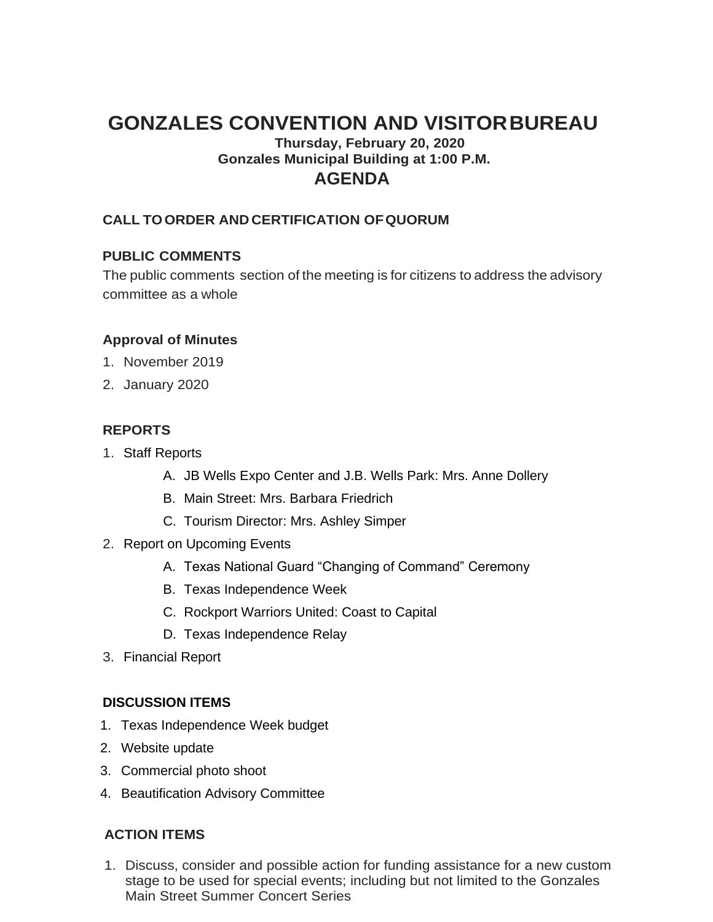# **GONZALES CONVENTION AND VISITORBUREAU**

# **Thursday, February 20, 2020 Gonzales Municipal Building at 1:00 P.M. AGENDA**

## **CALL TOORDER AND CERTIFICATION OFQUORUM**

### **PUBLIC COMMENTS**

The public comments section of the meeting is for citizens to address the advisory committee as a whole

#### **Approval of Minutes**

- 1. November 2019
- 2. January 2020

#### **REPORTS**

- 1. Staff Reports
	- A. JB Wells Expo Center and J.B. Wells Park: Mrs. Anne Dollery
	- B. Main Street: Mrs. Barbara Friedrich
	- C. Tourism Director: Mrs. Ashley Simper
- 2. Report on Upcoming Events
	- A. Texas National Guard "Changing of Command" Ceremony
	- B. Texas Independence Week
	- C. Rockport Warriors United: Coast to Capital
	- D. Texas Independence Relay
- 3. Financial Report

### **DISCUSSION ITEMS**

- 1. Texas Independence Week budget
- 2. Website update
- 3. Commercial photo shoot
- 4. Beautification Advisory Committee

### **ACTION ITEMS**

1. Discuss, consider and possible action for funding assistance for a new custom stage to be used for special events; including but not limited to the Gonzales Main Street Summer Concert Series